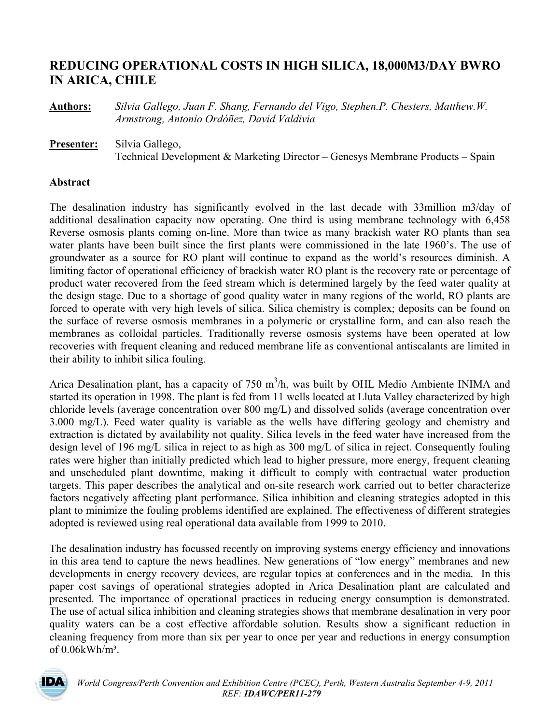# **REDUCING OPERATIONAL COSTS IN HIGH SILICA, 18,000M3/DAY BWRO IN ARICA, CHILE**

**Authors:** *Silvia Gallego, Juan F. Shang, Fernando del Vigo, Stephen.P. Chesters, Matthew.W. Armstrong, Antonio Ordóñez, David Valdivia* 

**Presenter:** Silvia Gallego, Technical Development & Marketing Director – Genesys Membrane Products – Spain

### **Abstract**

The desalination industry has significantly evolved in the last decade with 33million m3/day of additional desalination capacity now operating. One third is using membrane technology with 6,458 Reverse osmosis plants coming on-line. More than twice as many brackish water RO plants than sea water plants have been built since the first plants were commissioned in the late 1960's. The use of groundwater as a source for RO plant will continue to expand as the world's resources diminish. A limiting factor of operational efficiency of brackish water RO plant is the recovery rate or percentage of product water recovered from the feed stream which is determined largely by the feed water quality at the design stage. Due to a shortage of good quality water in many regions of the world, RO plants are forced to operate with very high levels of silica. Silica chemistry is complex; deposits can be found on the surface of reverse osmosis membranes in a polymeric or crystalline form, and can also reach the membranes as colloidal particles. Traditionally reverse osmosis systems have been operated at low recoveries with frequent cleaning and reduced membrane life as conventional antiscalants are limited in their ability to inhibit silica fouling.

Arica Desalination plant, has a capacity of 750  $m<sup>3</sup>/h$ , was built by OHL Medio Ambiente INIMA and started its operation in 1998. The plant is fed from 11 wells located at Lluta Valley characterized by high chloride levels (average concentration over 800 mg/L) and dissolved solids (average concentration over 3.000 mg/L). Feed water quality is variable as the wells have differing geology and chemistry and extraction is dictated by availability not quality. Silica levels in the feed water have increased from the design level of 196 mg/L silica in reject to as high as 300 mg/L of silica in reject. Consequently fouling rates were higher than initially predicted which lead to higher pressure, more energy, frequent cleaning and unscheduled plant downtime, making it difficult to comply with contractual water production targets. This paper describes the analytical and on-site research work carried out to better characterize factors negatively affecting plant performance. Silica inhibition and cleaning strategies adopted in this plant to minimize the fouling problems identified are explained. The effectiveness of different strategies adopted is reviewed using real operational data available from 1999 to 2010.

The desalination industry has focussed recently on improving systems energy efficiency and innovations in this area tend to capture the news headlines. New generations of "low energy" membranes and new developments in energy recovery devices, are regular topics at conferences and in the media. In this paper cost savings of operational strategies adopted in Arica Desalination plant are calculated and presented. The importance of operational practices in reducing energy consumption is demonstrated. The use of actual silica inhibition and cleaning strategies shows that membrane desalination in very poor quality waters can be a cost effective affordable solution. Results show a significant reduction in cleaning frequency from more than six per year to once per year and reductions in energy consumption of 0.06kWh/m³.

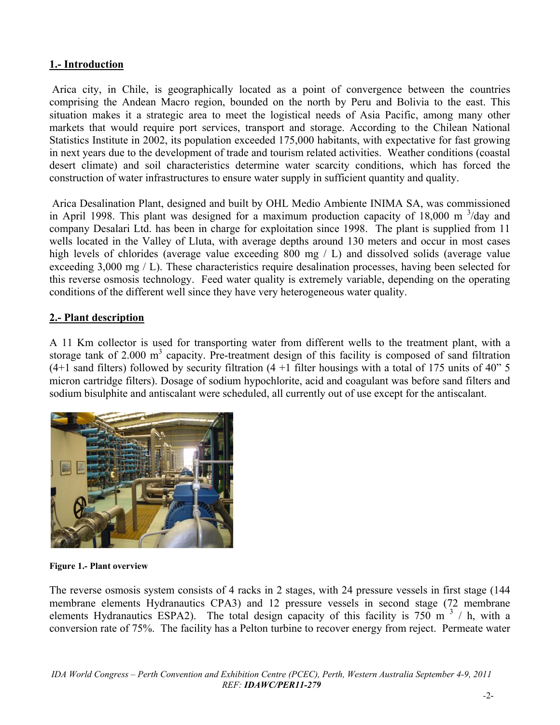## **1.- Introduction**

 Arica city, in Chile, is geographically located as a point of convergence between the countries comprising the Andean Macro region, bounded on the north by Peru and Bolivia to the east. This situation makes it a strategic area to meet the logistical needs of Asia Pacific, among many other markets that would require port services, transport and storage. According to the Chilean National Statistics Institute in 2002, its population exceeded 175,000 habitants, with expectative for fast growing in next years due to the development of trade and tourism related activities. Weather conditions (coastal desert climate) and soil characteristics determine water scarcity conditions, which has forced the construction of water infrastructures to ensure water supply in sufficient quantity and quality.

 Arica Desalination Plant, designed and built by OHL Medio Ambiente INIMA SA, was commissioned in April 1998. This plant was designed for a maximum production capacity of 18,000 m  $3/$ day and company Desalari Ltd. has been in charge for exploitation since 1998. The plant is supplied from 11 wells located in the Valley of Lluta, with average depths around 130 meters and occur in most cases high levels of chlorides (average value exceeding 800 mg / L) and dissolved solids (average value exceeding 3,000 mg / L). These characteristics require desalination processes, having been selected for this reverse osmosis technology. Feed water quality is extremely variable, depending on the operating conditions of the different well since they have very heterogeneous water quality.

## **2.- Plant description**

A 11 Km collector is used for transporting water from different wells to the treatment plant, with a storage tank of 2.000  $m<sup>3</sup>$  capacity. Pre-treatment design of this facility is composed of sand filtration (4+1 sand filters) followed by security filtration  $(4 + 1)$  filter housings with a total of 175 units of 40" 5 micron cartridge filters). Dosage of sodium hypochlorite, acid and coagulant was before sand filters and sodium bisulphite and antiscalant were scheduled, all currently out of use except for the antiscalant.



**Figure 1.- Plant overview** 

The reverse osmosis system consists of 4 racks in 2 stages, with 24 pressure vessels in first stage (144 membrane elements Hydranautics CPA3) and 12 pressure vessels in second stage (72 membrane elements Hydranautics ESPA2). The total design capacity of this facility is  $750 \text{ m}^3$  / h, with a conversion rate of 75%. The facility has a Pelton turbine to recover energy from reject. Permeate water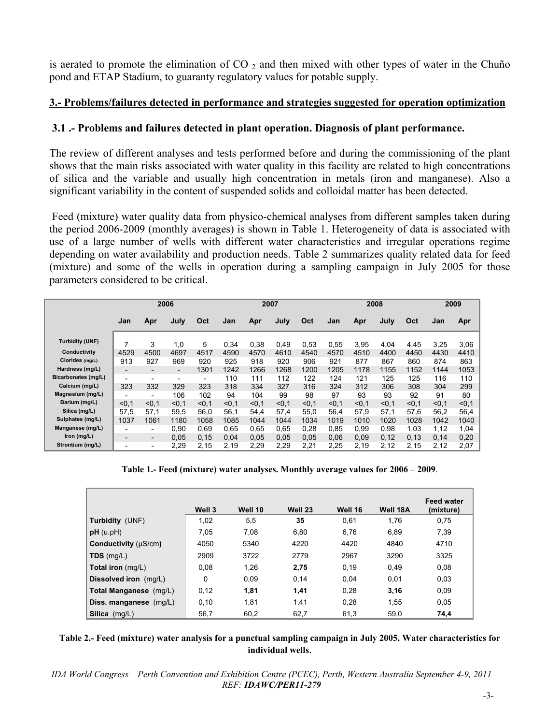is aerated to promote the elimination of  $CO_2$  and then mixed with other types of water in the Chuño pond and ETAP Stadium, to guaranty regulatory values for potable supply.

## **3.- Problems/failures detected in performance and strategies suggested for operation optimization**

## **3.1 .- Problems and failures detected in plant operation. Diagnosis of plant performance.**

The review of different analyses and tests performed before and during the commissioning of the plant shows that the main risks associated with water quality in this facility are related to high concentrations of silica and the variable and usually high concentration in metals (iron and manganese). Also a significant variability in the content of suspended solids and colloidal matter has been detected.

 Feed (mixture) water quality data from physico-chemical analyses from different samples taken during the period 2006-2009 (monthly averages) is shown in Table 1. Heterogeneity of data is associated with use of a large number of wells with different water characteristics and irregular operations regime depending on water availability and production needs. Table 2 summarizes quality related data for feed (mixture) and some of the wells in operation during a sampling campaign in July 2005 for those parameters considered to be critical.

|                        | 2006                     |                              |                          |                          | 2007  |       |       | 2008  |       |       | 2009  |       |       |       |
|------------------------|--------------------------|------------------------------|--------------------------|--------------------------|-------|-------|-------|-------|-------|-------|-------|-------|-------|-------|
|                        | Jan                      | Apr                          | July                     | Oct                      | Jan   | Apr   | July  | Oct   | Jan   | Apr   | July  | Oct   | Jan   | Apr   |
| <b>Turbidity (UNF)</b> | 7                        | 3                            | 1,0                      | 5                        | 0,34  | 0,38  | 0,49  | 0,53  | 0.55  | 3,95  | 4,04  | 4,45  | 3,25  | 3,06  |
| Conductivity           | 4529                     | 4500                         | 4697                     | 4517                     | 4590  | 4570  | 4610  | 4540  | 4570  | 4510  | 4400  | 4450  | 4430  | 4410  |
| Clorides (mg/L)        | 913                      | 927                          | 969                      | 920                      | 925   | 918   | 920   | 906   | 921   | 877   | 867   | 860   | 874   | 863   |
| Hardness (mg/L)        | -                        | $\qquad \qquad \blacksquare$ | $\overline{\phantom{0}}$ | 1301                     | 1242  | 1266  | 1268  | 1200  | 1205  | 1178  | 1155  | 1152  | 1144  | 1053  |
| Bicarbonates (mg/L)    | $\overline{\phantom{0}}$ | -                            | $\overline{\phantom{a}}$ | $\overline{\phantom{a}}$ | 110   | 111   | 112   | 122   | 124   | 121   | 125   | 125   | 116   | 110   |
| Calcium (mg/L)         | 323                      | 332                          | 329                      | 323                      | 318   | 334   | 327   | 316   | 324   | 312   | 306   | 308   | 304   | 299   |
| Magnesium (mg/L)       | -                        | $\overline{a}$               | 106                      | 102                      | 94    | 104   | 99    | 98    | 97    | 93    | 93    | 92    | 91    | 80    |
| Barium (mg/L)          | < 0.1                    | < 0.1                        | < 0.1                    | < 0.1                    | < 0.1 | < 0.1 | < 0.1 | < 0.1 | < 0.1 | < 0.1 | < 0.1 | < 0.1 | < 0.1 | < 0.1 |
| Sílica (mg/L)          | 57,5                     | 57,1                         | 59.5                     | 56.0                     | 56,1  | 54,4  | 57,4  | 55,0  | 56.4  | 57,9  | 57,1  | 57,6  | 56,2  | 56,4  |
| Sulphates (mg/L)       | 1037                     | 1061                         | 1180                     | 1058                     | 1085  | 1044  | 1044  | 1034  | 1019  | 1010  | 1020  | 1028  | 1042  | 1040  |
| Manganese (mg/L)       | -                        | -                            | 0,90                     | 0.69                     | 0.65  | 0.65  | 0,65  | 0.28  | 0.85  | 0,99  | 0.98  | 1.03  | 1,12  | 1,04  |
| Iron (mg/L)            | -                        | $\qquad \qquad \blacksquare$ | 0,05                     | 0.15                     | 0.04  | 0,05  | 0,05  | 0.05  | 0,06  | 0,09  | 0,12  | 0,13  | 0,14  | 0,20  |
| Strontium (mg/L)       | -                        | -                            | 2,29                     | 2,15                     | 2.19  | 2,29  | 2,29  | 2,21  | 2,25  | 2,19  | 2,12  | 2,15  | 2,12  | 2,07  |

**Table 1.- Feed (mixture) water analyses. Monthly average values for 2006 – 2009**.

|                          | Well 3 | Well 10 | Well 23 | Well 16 | Well 18A | <b>Feed water</b><br>(mixture) |
|--------------------------|--------|---------|---------|---------|----------|--------------------------------|
| <b>Turbidity (UNF)</b>   | 1,02   | 5,5     | 35      | 0.61    | 1.76     | 0,75                           |
| pH (u.pH)                | 7.05   | 7.08    | 6.80    | 6.76    | 6.89     | 7,39                           |
| Conductivity (µS/cm)     | 4050   | 5340    | 4220    | 4420    | 4840     | 4710                           |
| $TDS$ (mg/L)             | 2909   | 3722    | 2779    | 2967    | 3290     | 3325                           |
| Total iron (mg/L)        | 0.08   | 1.26    | 2,75    | 0,19    | 0.49     | 0,08                           |
| Dissolved iron (mg/L)    | 0      | 0.09    | 0.14    | 0.04    | 0,01     | 0,03                           |
| Total Manganese (mg/L)   | 0.12   | 1,81    | 1,41    | 0.28    | 3,16     | 0.09                           |
| Diss. manganese $(mg/L)$ | 0,10   | 1,81    | 1,41    | 0.28    | 1,55     | 0.05                           |
| Silica<br>(mg/L)         | 56,7   | 60,2    | 62,7    | 61,3    | 59,0     | 74,4                           |

#### **Table 2.- Feed (mixture) water analysis for a punctual sampling campaign in July 2005. Water characteristics for individual wells**.

*IDA World Congress – Perth Convention and Exhibition Centre (PCEC), Perth, Western Australia September 4-9, 2011 REF: IDAWC/PER11-279*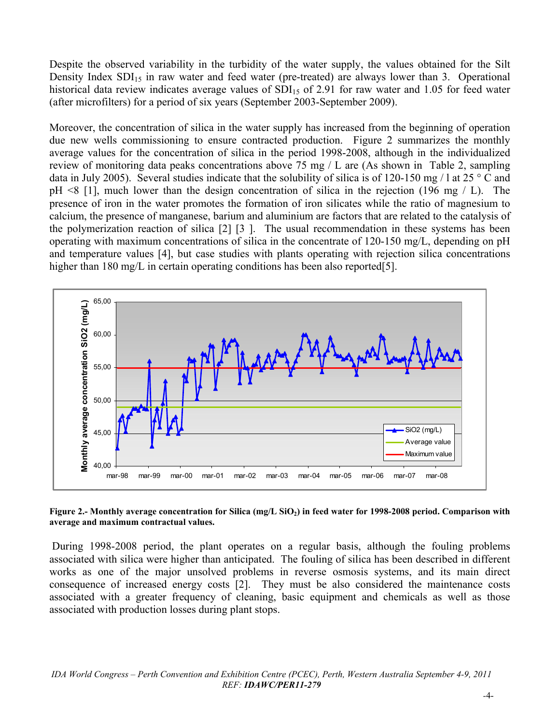Despite the observed variability in the turbidity of the water supply, the values obtained for the Silt Density Index  $SDI<sub>15</sub>$  in raw water and feed water (pre-treated) are always lower than 3. Operational historical data review indicates average values of  $SDI<sub>15</sub>$  of 2.91 for raw water and 1.05 for feed water (after microfilters) for a period of six years (September 2003-September 2009).

Moreover, the concentration of silica in the water supply has increased from the beginning of operation due new wells commissioning to ensure contracted production. Figure 2 summarizes the monthly average values for the concentration of silica in the period 1998-2008, although in the individualized review of monitoring data peaks concentrations above 75 mg / L are (As shown in Table 2, sampling data in July 2005). Several studies indicate that the solubility of silica is of 120-150 mg / l at 25  $\degree$  C and pH <8 [1], much lower than the design concentration of silica in the rejection (196 mg / L). The presence of iron in the water promotes the formation of iron silicates while the ratio of magnesium to calcium, the presence of manganese, barium and aluminium are factors that are related to the catalysis of the polymerization reaction of silica [2] [3 ]. The usual recommendation in these systems has been operating with maximum concentrations of silica in the concentrate of 120-150 mg/L, depending on pH and temperature values [4], but case studies with plants operating with rejection silica concentrations higher than 180 mg/L in certain operating conditions has been also reported[5].



#### **Figure 2.- Monthly average concentration for Silica (mg/L SiO2) in feed water for 1998-2008 period. Comparison with average and maximum contractual values.**

 During 1998-2008 period, the plant operates on a regular basis, although the fouling problems associated with silica were higher than anticipated. The fouling of silica has been described in different works as one of the major unsolved problems in reverse osmosis systems, and its main direct consequence of increased energy costs [2]. They must be also considered the maintenance costs associated with a greater frequency of cleaning, basic equipment and chemicals as well as those associated with production losses during plant stops.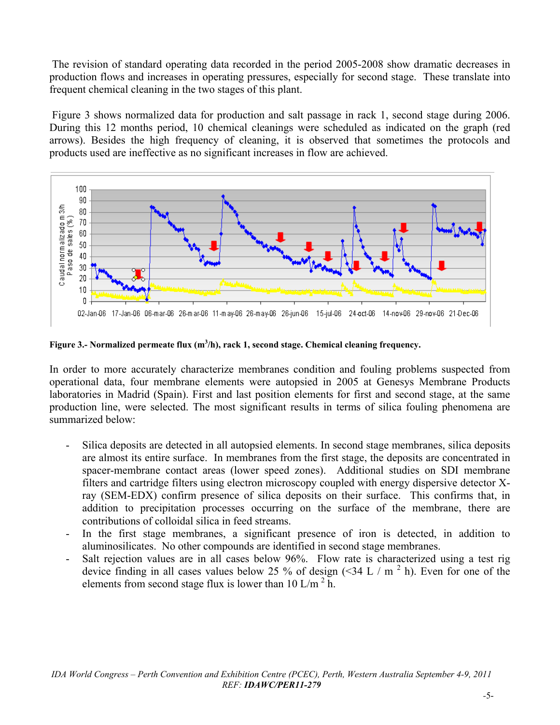The revision of standard operating data recorded in the period 2005-2008 show dramatic decreases in production flows and increases in operating pressures, especially for second stage. These translate into frequent chemical cleaning in the two stages of this plant.

 Figure 3 shows normalized data for production and salt passage in rack 1, second stage during 2006. During this 12 months period, 10 chemical cleanings were scheduled as indicated on the graph (red arrows). Besides the high frequency of cleaning, it is observed that sometimes the protocols and products used are ineffective as no significant increases in flow are achieved.



Figure 3.- Normalized permeate flux (m<sup>3</sup>/h), rack 1, second stage. Chemical cleaning frequency.

In order to more accurately characterize membranes condition and fouling problems suspected from operational data, four membrane elements were autopsied in 2005 at Genesys Membrane Products laboratories in Madrid (Spain). First and last position elements for first and second stage, at the same production line, were selected. The most significant results in terms of silica fouling phenomena are summarized below:

- Silica deposits are detected in all autopsied elements. In second stage membranes, silica deposits are almost its entire surface. In membranes from the first stage, the deposits are concentrated in spacer-membrane contact areas (lower speed zones). Additional studies on SDI membrane filters and cartridge filters using electron microscopy coupled with energy dispersive detector Xray (SEM-EDX) confirm presence of silica deposits on their surface. This confirms that, in addition to precipitation processes occurring on the surface of the membrane, there are contributions of colloidal silica in feed streams.
- In the first stage membranes, a significant presence of iron is detected, in addition to aluminosilicates. No other compounds are identified in second stage membranes.
- Salt rejection values are in all cases below 96%. Flow rate is characterized using a test rig device finding in all cases values below 25 % of design  $(\leq 34 \text{ L} / \text{m}^2 \text{ h})$ . Even for one of the elements from second stage flux is lower than 10 L/m<sup>2</sup> h.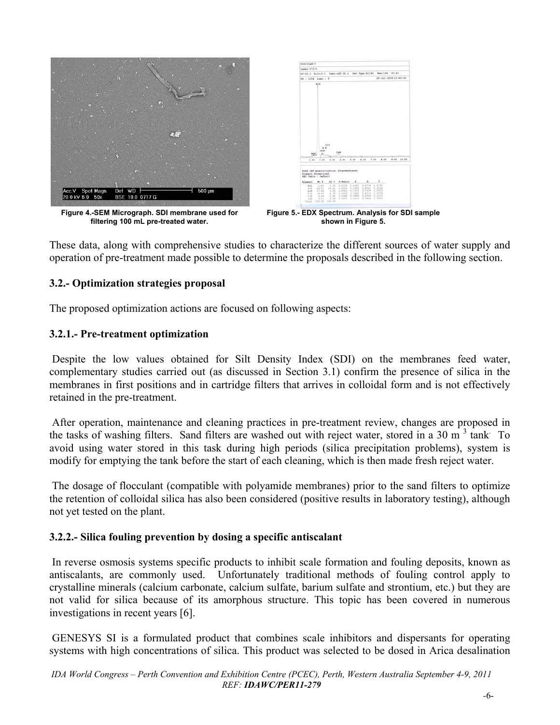

**Figure 4.-SEM Micrograph. SDI membrane used for filtering 100 mL pre-treated water.** 

| Label: 07171                                                 |                |                 |                                      |      |                         |                  |                      |      |       |
|--------------------------------------------------------------|----------------|-----------------|--------------------------------------|------|-------------------------|------------------|----------------------|------|-------|
| kV:20.0 Tilt:0.0 Take-off:30.1 Det Type:E3/4C Ras:136 To:40  |                |                 |                                      |      |                         |                  |                      |      |       |
| FS : 1204 Leec : 5                                           |                |                 |                                      |      |                         |                  | 28-Jul-2005 10:40:32 |      |       |
|                                                              | <b>KLK</b>     |                 |                                      |      |                         |                  |                      |      |       |
|                                                              |                |                 |                                      |      |                         |                  |                      |      |       |
|                                                              |                |                 |                                      |      |                         |                  |                      |      |       |
|                                                              |                |                 |                                      |      |                         |                  |                      |      |       |
|                                                              |                |                 |                                      |      |                         |                  |                      |      |       |
|                                                              |                |                 |                                      |      |                         |                  |                      |      |       |
|                                                              |                |                 |                                      |      |                         |                  |                      |      |       |
|                                                              |                |                 |                                      |      |                         |                  |                      |      |       |
|                                                              |                |                 |                                      |      |                         |                  |                      |      |       |
|                                                              |                |                 |                                      |      |                         |                  |                      |      |       |
|                                                              |                |                 |                                      |      |                         |                  |                      |      |       |
|                                                              |                |                 |                                      |      |                         |                  |                      |      |       |
|                                                              |                |                 |                                      |      |                         |                  |                      |      |       |
|                                                              |                |                 |                                      |      |                         |                  |                      |      |       |
|                                                              | 8 <sup>2</sup> | CLK             |                                      |      |                         |                  |                      |      |       |
| MgK                                                          | <b>Audel</b>   |                 | Call                                 |      |                         |                  |                      |      |       |
| ö                                                            |                |                 | w.                                   |      | 4.06                    | 7.00             | 8.05                 | 9.00 |       |
| 1.66                                                         | 2.04           | 3.68            | 4.00                                 | 8.00 |                         |                  |                      |      |       |
|                                                              |                |                 |                                      |      |                         |                  |                      |      |       |
| EDAX IAF Quantification (Standardless)<br>Element Mormalised |                |                 |                                      |      |                         |                  |                      |      |       |
| SEC Table : Default                                          |                |                 |                                      |      |                         |                  | n                    |      |       |
| Klament.                                                     | Wt. b          | AE              | E-Ratio E                            |      | ۸                       |                  | r                    |      |       |
| Molt                                                         | 1,00           |                 | 2.50 0.0329 3.0367                   |      | 0.6719 1.0192<br>0.8592 | 1,0016           |                      |      |       |
| tim<br>3126                                                  | 69.31<br>17,44 | $-3004$         | 83,65 0,6192 1,0350<br>0.0915 0.7370 |      | 0.7029 1.0003           |                  |                      |      |       |
| 2.8<br>$-z1x$                                                | 4.17<br>3.54   | $-4.72$<br>2.31 | 8,6519 1,0361<br>0.0148 0.0006       |      | 0.4713<br>$0.55k$ b     | 1,0018<br>1,0010 |                      |      | 18.00 |

**Figure 5.- EDX Spectrum. Analysis for SDI sample shown in Figure 5.** 

These data, along with comprehensive studies to characterize the different sources of water supply and operation of pre-treatment made possible to determine the proposals described in the following section.

## **3.2.- Optimization strategies proposal**

The proposed optimization actions are focused on following aspects:

## **3.2.1.- Pre-treatment optimization**

 Despite the low values obtained for Silt Density Index (SDI) on the membranes feed water, complementary studies carried out (as discussed in Section 3.1) confirm the presence of silica in the membranes in first positions and in cartridge filters that arrives in colloidal form and is not effectively retained in the pre-treatment.

 After operation, maintenance and cleaning practices in pre-treatment review, changes are proposed in the tasks of washing filters. Sand filters are washed out with reject water, stored in a 30 m<sup>3</sup> tank<sup>.</sup> To avoid using water stored in this task during high periods (silica precipitation problems), system is modify for emptying the tank before the start of each cleaning, which is then made fresh reject water.

 The dosage of flocculant (compatible with polyamide membranes) prior to the sand filters to optimize the retention of colloidal silica has also been considered (positive results in laboratory testing), although not yet tested on the plant.

## **3.2.2.- Silica fouling prevention by dosing a specific antiscalant**

 In reverse osmosis systems specific products to inhibit scale formation and fouling deposits, known as antiscalants, are commonly used. Unfortunately traditional methods of fouling control apply to crystalline minerals (calcium carbonate, calcium sulfate, barium sulfate and strontium, etc.) but they are not valid for silica because of its amorphous structure. This topic has been covered in numerous investigations in recent years [6].

 GENESYS SI is a formulated product that combines scale inhibitors and dispersants for operating systems with high concentrations of silica. This product was selected to be dosed in Arica desalination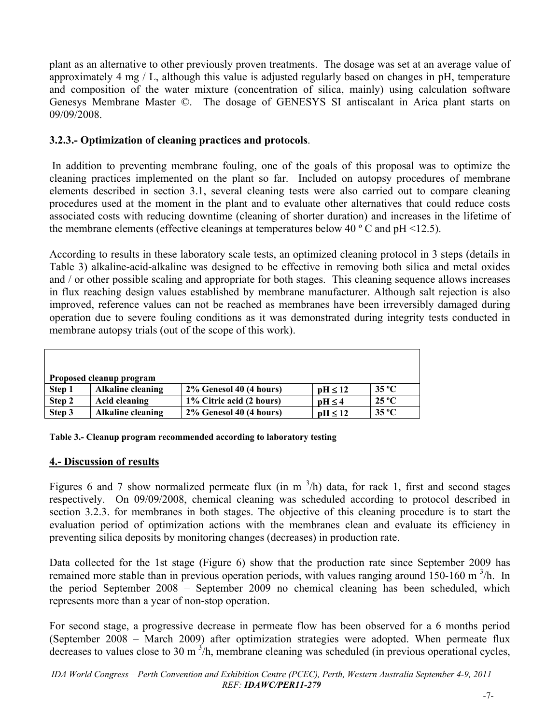plant as an alternative to other previously proven treatments. The dosage was set at an average value of approximately 4 mg / L, although this value is adjusted regularly based on changes in pH, temperature and composition of the water mixture (concentration of silica, mainly) using calculation software Genesys Membrane Master ©. The dosage of GENESYS SI antiscalant in Arica plant starts on 09/09/2008.

## **3.2.3.- Optimization of cleaning practices and protocols**.

 In addition to preventing membrane fouling, one of the goals of this proposal was to optimize the cleaning practices implemented on the plant so far. Included on autopsy procedures of membrane elements described in section 3.1, several cleaning tests were also carried out to compare cleaning procedures used at the moment in the plant and to evaluate other alternatives that could reduce costs associated costs with reducing downtime (cleaning of shorter duration) and increases in the lifetime of the membrane elements (effective cleanings at temperatures below 40  $^{\circ}$  C and pH <12.5).

According to results in these laboratory scale tests, an optimized cleaning protocol in 3 steps (details in Table 3) alkaline-acid-alkaline was designed to be effective in removing both silica and metal oxides and / or other possible scaling and appropriate for both stages. This cleaning sequence allows increases in flux reaching design values established by membrane manufacturer. Although salt rejection is also improved, reference values can not be reached as membranes have been irreversibly damaged during operation due to severe fouling conditions as it was demonstrated during integrity tests conducted in membrane autopsy trials (out of the scope of this work).

| Proposed cleanup program |                          |                          |                     |                |  |  |  |
|--------------------------|--------------------------|--------------------------|---------------------|----------------|--|--|--|
| Step 1                   | <b>Alkaline cleaning</b> | 2% Genesol 40 (4 hours)  | $\text{pH} \leq 12$ | $35^{\circ}$ C |  |  |  |
| Step 2                   | Acid cleaning            | 1% Citric acid (2 hours) | $nH \leq 4$         | $25^{\circ}$ C |  |  |  |
| Step 3                   | <b>Alkaline cleaning</b> | 2% Genesol 40 (4 hours)  | $nH \leq 12$        | $35^{\circ}$ C |  |  |  |

|  | Table 3.- Cleanup program recommended according to laboratory testing |
|--|-----------------------------------------------------------------------|
|  |                                                                       |

## **4.- Discussion of results**

Figures 6 and 7 show normalized permeate flux (in m  $^3$ /h) data, for rack 1, first and second stages respectively. On 09/09/2008, chemical cleaning was scheduled according to protocol described in section 3.2.3. for membranes in both stages. The objective of this cleaning procedure is to start the evaluation period of optimization actions with the membranes clean and evaluate its efficiency in preventing silica deposits by monitoring changes (decreases) in production rate.

Data collected for the 1st stage (Figure 6) show that the production rate since September 2009 has remained more stable than in previous operation periods, with values ranging around 150-160 m<sup>3</sup>/h. In the period September 2008 – September 2009 no chemical cleaning has been scheduled, which represents more than a year of non-stop operation.

For second stage, a progressive decrease in permeate flow has been observed for a 6 months period (September 2008 – March 2009) after optimization strategies were adopted. When permeate flux decreases to values close to 30 m  $^3$ /h, membrane cleaning was scheduled (in previous operational cycles,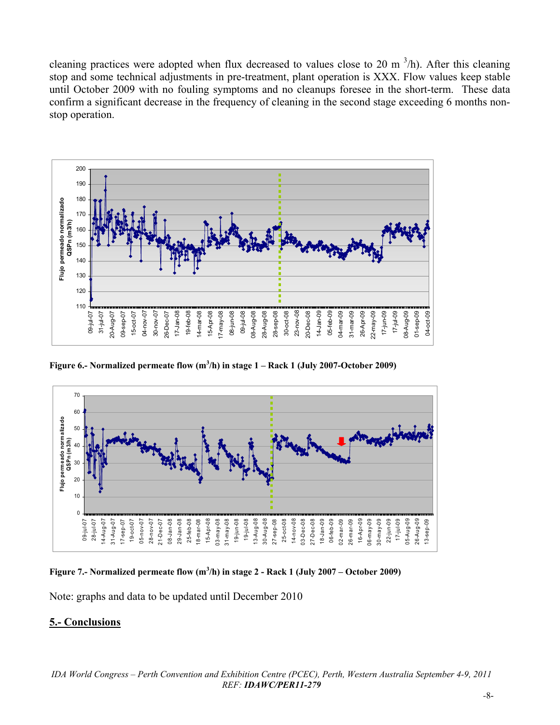cleaning practices were adopted when flux decreased to values close to 20 m  $^3$ /h). After this cleaning stop and some technical adjustments in pre-treatment, plant operation is XXX. Flow values keep stable until October 2009 with no fouling symptoms and no cleanups foresee in the short-term. These data confirm a significant decrease in the frequency of cleaning in the second stage exceeding 6 months nonstop operation.



Figure 6.- Normalized permeate flow (m<sup>3</sup>/h) in stage 1 – Rack 1 (July 2007-October 2009)



Figure 7.- Normalized permeate flow (m<sup>3</sup>/h) in stage 2 - Rack 1 (July 2007 – October 2009)

Note: graphs and data to be updated until December 2010

## **5.- Conclusions**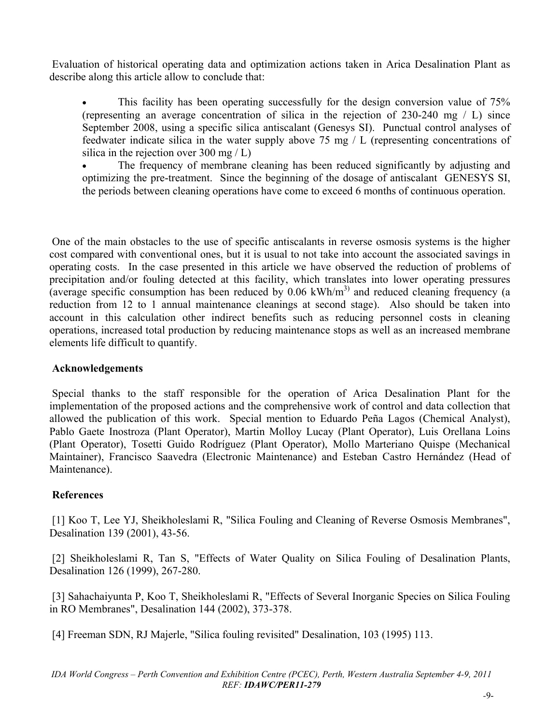Evaluation of historical operating data and optimization actions taken in Arica Desalination Plant as describe along this article allow to conclude that:

• This facility has been operating successfully for the design conversion value of 75% (representing an average concentration of silica in the rejection of 230-240 mg / L) since September 2008, using a specific silica antiscalant (Genesys SI). Punctual control analyses of feedwater indicate silica in the water supply above 75 mg / L (representing concentrations of silica in the rejection over 300 mg / L)

 The frequency of membrane cleaning has been reduced significantly by adjusting and optimizing the pre-treatment. Since the beginning of the dosage of antiscalant GENESYS SI, the periods between cleaning operations have come to exceed 6 months of continuous operation.

 One of the main obstacles to the use of specific antiscalants in reverse osmosis systems is the higher cost compared with conventional ones, but it is usual to not take into account the associated savings in operating costs. In the case presented in this article we have observed the reduction of problems of precipitation and/or fouling detected at this facility, which translates into lower operating pressures (average specific consumption has been reduced by  $0.06 \text{ kWh/m}^3$ ) and reduced cleaning frequency (a reduction from 12 to 1 annual maintenance cleanings at second stage). Also should be taken into account in this calculation other indirect benefits such as reducing personnel costs in cleaning operations, increased total production by reducing maintenance stops as well as an increased membrane elements life difficult to quantify.

### **Acknowledgements**

 Special thanks to the staff responsible for the operation of Arica Desalination Plant for the implementation of the proposed actions and the comprehensive work of control and data collection that allowed the publication of this work. Special mention to Eduardo Peña Lagos (Chemical Analyst), Pablo Gaete Inostroza (Plant Operator), Martin Molloy Lucay (Plant Operator), Luis Orellana Loins (Plant Operator), Tosetti Guido Rodríguez (Plant Operator), Mollo Marteriano Quispe (Mechanical Maintainer), Francisco Saavedra (Electronic Maintenance) and Esteban Castro Hernández (Head of Maintenance).

## **References**

 [1] Koo T, Lee YJ, Sheikholeslami R, "Silica Fouling and Cleaning of Reverse Osmosis Membranes", Desalination 139 (2001), 43-56.

 [2] Sheikholeslami R, Tan S, "Effects of Water Quality on Silica Fouling of Desalination Plants, Desalination 126 (1999), 267-280.

 [3] Sahachaiyunta P, Koo T, Sheikholeslami R, "Effects of Several Inorganic Species on Silica Fouling in RO Membranes", Desalination 144 (2002), 373-378.

[4] Freeman SDN, RJ Majerle, "Silica fouling revisited" Desalination, 103 (1995) 113.